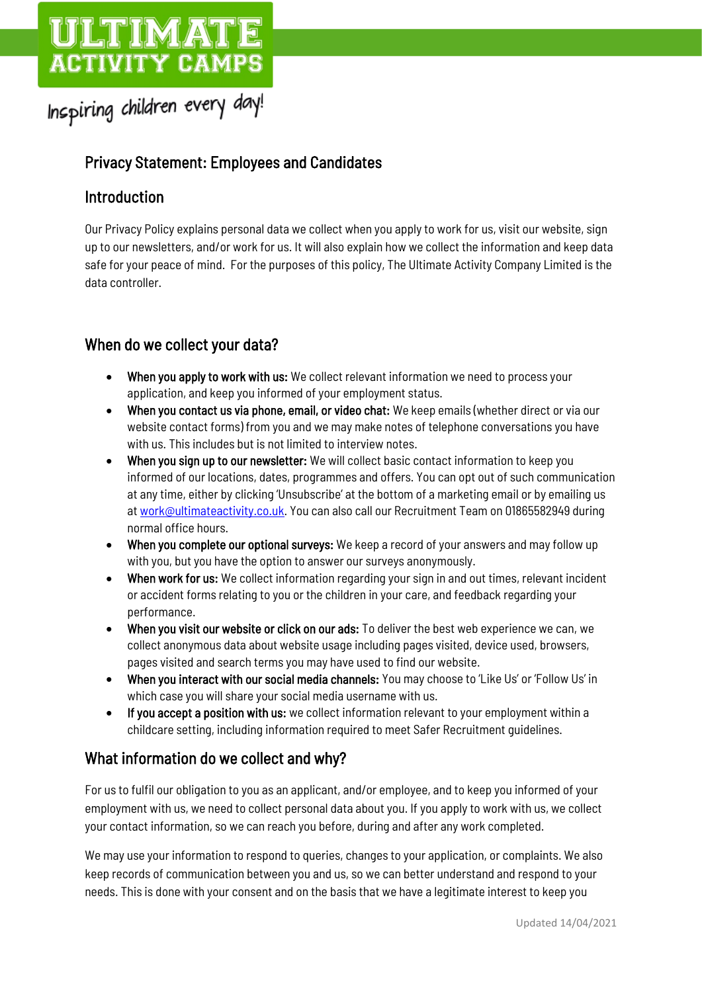# **ACTIVITY CAMPS**

# Inspiring children every day!

# Privacy Statement: Employees and Candidates

# Introduction

Our Privacy Policy explains personal data we collect when you apply to work for us, visit our website, sign up to our newsletters, and/or work for us. It will also explain how we collect the information and keep data safe for your peace of mind. For the purposes of this policy, The Ultimate Activity Company Limited is the data controller.

# When do we collect your data?

- When you apply to work with us: We collect relevant information we need to process your application, and keep you informed of your employment status.
- When you contact us via phone, email, or video chat: We keep emails (whether direct or via our website contact forms) from you and we may make notes of telephone conversations you have with us. This includes but is not limited to interview notes.
- When you sign up to our newsletter: We will collect basic contact information to keep you informed of our locations, dates, programmes and offers. You can opt out of such communication at any time, either by clicking 'Unsubscribe' at the bottom of a marketing email or by emailing us a[t work@ultimateactivity.co.uk.](mailto:work@ultimateactivity.co.uk) You can also call our Recruitment Team on 01865582949 during normal office hours.
- When you complete our optional surveys: We keep a record of your answers and may follow up with you, but you have the option to answer our surveys anonymously.
- When work for us: We collect information regarding your sign in and out times, relevant incident or accident forms relating to you or the children in your care, and feedback regarding your performance.
- When you visit our website or click on our ads: To deliver the best web experience we can, we collect anonymous data about website usage including pages visited, device used, browsers, pages visited and search terms you may have used to find our website.
- When you interact with our social media channels: You may choose to 'Like Us' or 'Follow Us' in which case you will share your social media username with us.
- If you accept a position with us: we collect information relevant to your employment within a childcare setting, including information required to meet Safer Recruitment guidelines.

# What information do we collect and why?

For us to fulfil our obligation to you as an applicant, and/or employee, and to keep you informed of your employment with us, we need to collect personal data about you. If you apply to work with us, we collect your contact information, so we can reach you before, during and after any work completed.

We may use your information to respond to queries, changes to your application, or complaints. We also keep records of communication between you and us, so we can better understand and respond to your needs. This is done with your consent and on the basis that we have a legitimate interest to keep you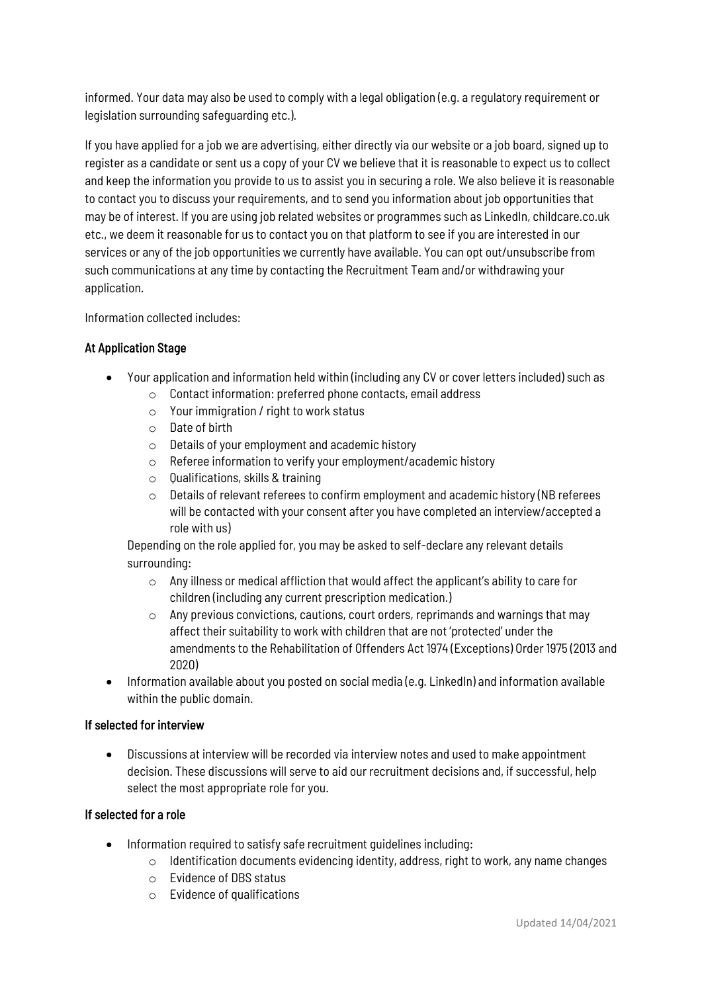informed. Your data may also be used to comply with a legal obligation (e.g. a regulatory requirement or legislation surrounding safeguarding etc.).

If you have applied for a job we are advertising, either directly via our website or a job board, signed up to register as a candidate or sent us a copy of your CV we believe that it is reasonable to expect us to collect and keep the information you provide to us to assist you in securing a role. We also believe it is reasonable to contact you to discuss your requirements, and to send you information about job opportunities that may be of interest. If you are using job related websites or programmes such as LinkedIn, childcare.co.uk etc., we deem it reasonable for us to contact you on that platform to see if you are interested in our services or any of the job opportunities we currently have available. You can opt out/unsubscribe from such communications at any time by contacting the Recruitment Team and/or withdrawing your application.

Information collected includes:

#### At Application Stage

- Your application and information held within (including any CV or cover letters included) such as
	- o Contact information: preferred phone contacts, email address
	- $\circ$  Your immigration / right to work status
	- o Date of birth
	- o Details of your employment and academic history
	- o Referee information to verify your employment/academic history
	- o Qualifications, skills & training
	- o Details of relevant referees to confirm employment and academic history (NB referees will be contacted with your consent after you have completed an interview/accepted a role with us)

Depending on the role applied for, you may be asked to self-declare any relevant details surrounding:

- o Any illness or medical affliction that would affect the applicant's ability to care for children (including any current prescription medication.)
- $\circ$  Any previous convictions, cautions, court orders, reprimands and warnings that may affect their suitability to work with children that are not 'protected' under the amendments to the Rehabilitation of Offenders Act 1974 (Exceptions) Order 1975 (2013 and 2020)
- Information available about you posted on social media (e.g. LinkedIn) and information available within the public domain.

#### If selected for interview

• Discussions at interview will be recorded via interview notes and used to make appointment decision. These discussions will serve to aid our recruitment decisions and, if successful, help select the most appropriate role for you.

#### If selected for a role

- Information required to satisfy safe recruitment guidelines including:
	- $\circ$  Identification documents evidencing identity, address, right to work, any name changes
	- o Evidence of DBS status
	- o Evidence of qualifications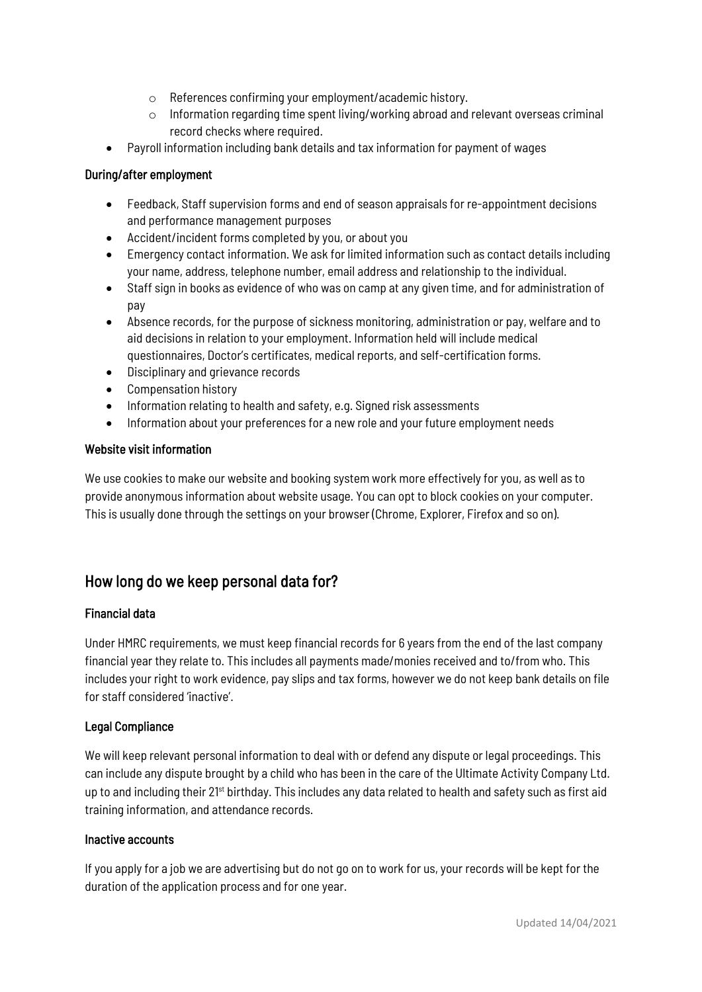- o References confirming your employment/academic history.
- $\circ$  Information regarding time spent living/working abroad and relevant overseas criminal record checks where required.
- Payroll information including bank details and tax information for payment of wages

#### During/after employment

- Feedback, Staff supervision forms and end of season appraisals for re-appointment decisions and performance management purposes
- Accident/incident forms completed by you, or about you
- Emergency contact information. We ask for limited information such as contact details including your name, address, telephone number, email address and relationship to the individual.
- Staff sign in books as evidence of who was on camp at any given time, and for administration of pay
- Absence records, for the purpose of sickness monitoring, administration or pay, welfare and to aid decisions in relation to your employment. Information held will include medical questionnaires, Doctor's certificates, medical reports, and self-certification forms.
- Disciplinary and grievance records
- Compensation history
- Information relating to health and safety, e.g. Signed risk assessments
- Information about your preferences for a new role and your future employment needs

#### Website visit information

We use cookies to make our website and booking system work more effectively for you, as well as to provide anonymous information about website usage. You can opt to block cookies on your computer. This is usually done through the settings on your browser (Chrome, Explorer, Firefox and so on).

### How long do we keep personal data for?

#### Financial data

Under HMRC requirements, we must keep financial records for 6 years from the end of the last company financial year they relate to. This includes all payments made/monies received and to/from who. This includes your right to work evidence, pay slips and tax forms, however we do not keep bank details on file for staff considered 'inactive'.

#### Legal Compliance

We will keep relevant personal information to deal with or defend any dispute or legal proceedings. This can include any dispute brought by a child who has been in the care of the Ultimate Activity Company Ltd. up to and including their 21<sup>st</sup> birthday. This includes any data related to health and safety such as first aid training information, and attendance records.

#### Inactive accounts

If you apply for a job we are advertising but do not go on to work for us, your records will be kept for the duration of the application process and for one year.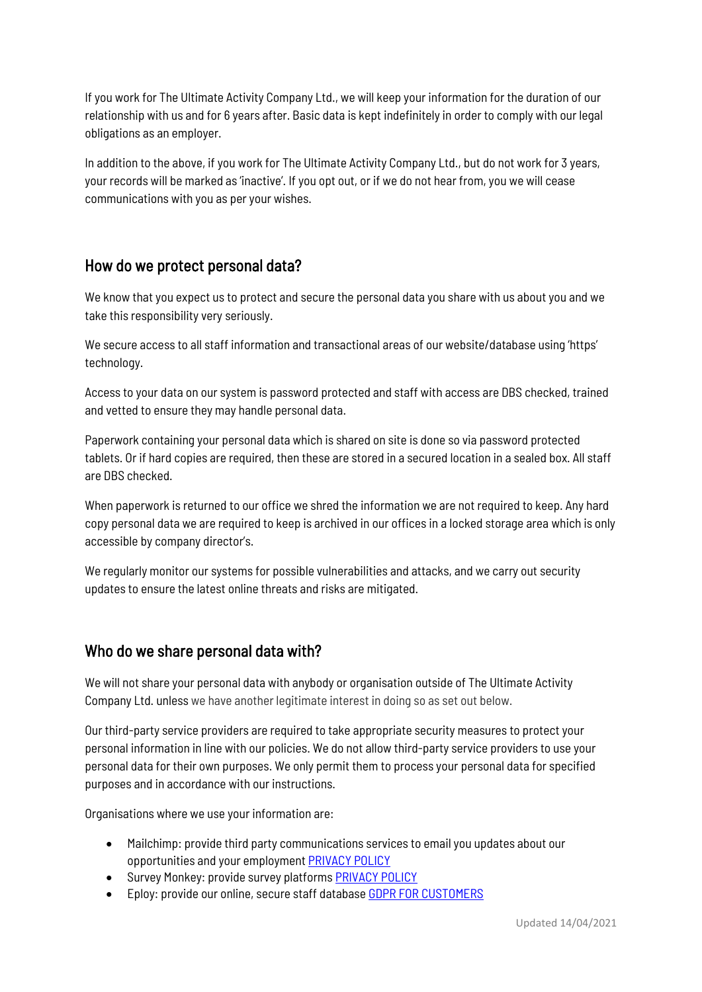If you work for The Ultimate Activity Company Ltd., we will keep your information for the duration of our relationship with us and for 6 years after. Basic data is kept indefinitely in order to comply with our legal obligations as an employer.

In addition to the above, if you work for The Ultimate Activity Company Ltd., but do not work for 3 years, your records will be marked as 'inactive'. If you opt out, or if we do not hear from, you we will cease communications with you as per your wishes.

## How do we protect personal data?

We know that you expect us to protect and secure the personal data you share with us about you and we take this responsibility very seriously.

We secure access to all staff information and transactional areas of our website/database using 'https' technology.

Access to your data on our system is password protected and staff with access are DBS checked, trained and vetted to ensure they may handle personal data.

Paperwork containing your personal data which is shared on site is done so via password protected tablets. Or if hard copies are required, then these are stored in a secured location in a sealed box. All staff are DBS checked.

When paperwork is returned to our office we shred the information we are not required to keep. Any hard copy personal data we are required to keep is archived in our offices in a locked storage area which is only accessible by company director's.

We regularly monitor our systems for possible vulnerabilities and attacks, and we carry out security updates to ensure the latest online threats and risks are mitigated.

# Who do we share personal data with?

We will not share your personal data with anybody or organisation outside of The Ultimate Activity Company Ltd. unless we have another legitimate interest in doing so as set out below.

Our third-party service providers are required to take appropriate security measures to protect your personal information in line with our policies. We do not allow third-party service providers to use your personal data for their own purposes. We only permit them to process your personal data for specified purposes and in accordance with our instructions.

Organisations where we use your information are:

- Mailchimp: provide third party communications services to email you updates about our opportunities and your employmen[t PRIVACY POLICY](https://mailchimp.com/legal/privacy/)
- Survey Monkey: provide survey platform[s PRIVACY POLICY](https://www.surveymonkey.com/mp/legal/privacy-policy/)
- Eploy: provide our online, secure staff database GDPR FOR [CUSTOMERS](https://www.eploy.co.uk/information/gdpr-for-customers/)